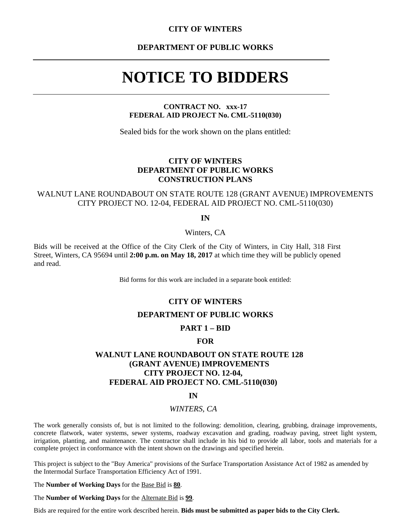## **CITY OF WINTERS**

**DEPARTMENT OF PUBLIC WORKS** 

# **NOTICE TO BIDDERS**

**CONTRACT NO. xxx-17 FEDERAL AID PROJECT No. CML-5110(030)** 

Sealed bids for the work shown on the plans entitled:

# **CITY OF WINTERS DEPARTMENT OF PUBLIC WORKS CONSTRUCTION PLANS**

# WALNUT LANE ROUNDABOUT ON STATE ROUTE 128 (GRANT AVENUE) IMPROVEMENTS CITY PROJECT NO. 12-04, FEDERAL AID PROJECT NO. CML-5110(030)

**IN** 

Winters, CA

Bids will be received at the Office of the City Clerk of the City of Winters, in City Hall, 318 First Street, Winters, CA 95694 until **2:00 p.m. on May 18, 2017** at which time they will be publicly opened and read.

Bid forms for this work are included in a separate book entitled:

## **CITY OF WINTERS**

# **DEPARTMENT OF PUBLIC WORKS**

# **PART 1 – BID**

## **FOR**

# **WALNUT LANE ROUNDABOUT ON STATE ROUTE 128 (GRANT AVENUE) IMPROVEMENTS CITY PROJECT NO. 12-04, FEDERAL AID PROJECT NO. CML-5110(030)**

### **IN**

## *WINTERS, CA*

The work generally consists of, but is not limited to the following: demolition, clearing, grubbing, drainage improvements, concrete flatwork, water systems, sewer systems, roadway excavation and grading, roadway paving, street light system, irrigation, planting, and maintenance. The contractor shall include in his bid to provide all labor, tools and materials for a complete project in conformance with the intent shown on the drawings and specified herein.

This project is subject to the "Buy America" provisions of the Surface Transportation Assistance Act of 1982 as amended by the Intermodal Surface Transportation Efficiency Act of 1991.

The **Number of Working Days** for the Base Bid is **80**.

The **Number of Working Days** for the Alternate Bid is **99**.

Bids are required for the entire work described herein. **Bids must be submitted as paper bids to the City Clerk.**